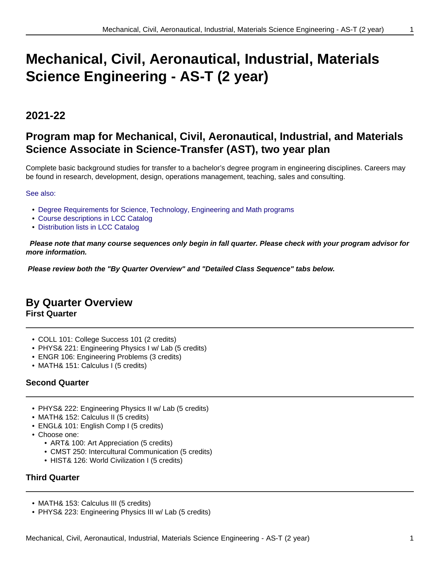# **Mechanical, Civil, Aeronautical, Industrial, Materials Science Engineering - AS-T (2 year)**

# **2021-22**

# **Program map for Mechanical, Civil, Aeronautical, Industrial, and Materials Science Associate in Science-Transfer (AST), two year plan**

Complete basic background studies for transfer to a bachelor's degree program in engineering disciplines. Careers may be found in research, development, design, operations management, teaching, sales and consulting.

#### See also:

- Degree Requirements for Science, Technology, Engineering and Math programs
- Course descriptions in LCC Catalog
- Distribution lists in LCC Catalog

 **Please note that many course sequences only begin in fall quarter. Please check with your program advisor for more information.**

**Please review both the "By Quarter Overview" and "Detailed Class Sequence" tabs below.**

## **By Quarter Overview**

**First Quarter**

- COLL 101: College Success 101 (2 credits)
- PHYS& 221: Engineering Physics I w/ Lab (5 credits)
- ENGR 106: Engineering Problems (3 credits)
- MATH& 151: Calculus I (5 credits)

#### **Second Quarter**

- PHYS& 222: Engineering Physics II w/ Lab (5 credits)
- MATH& 152: Calculus II (5 credits)
- ENGL& 101: English Comp I (5 credits)
- Choose one:
	- ART& 100: Art Appreciation (5 credits)
	- CMST 250: Intercultural Communication (5 credits)
	- HIST& 126: World Civilization I (5 credits)

#### **Third Quarter**

- MATH& 153: Calculus III (5 credits)
- PHYS& 223: Engineering Physics III w/ Lab (5 credits)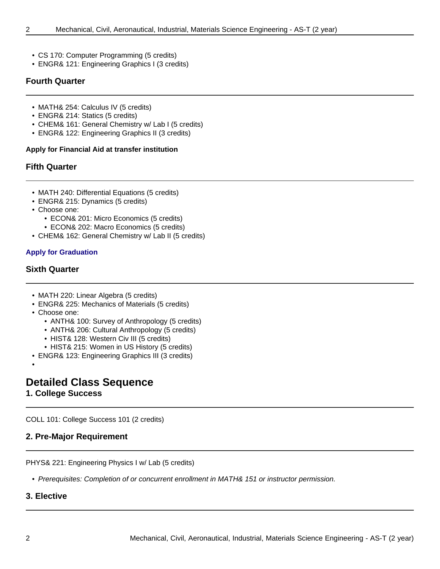- - CS 170: Computer Programming (5 credits)
	- ENGR& 121: Engineering Graphics I (3 credits)

#### **Fourth Quarter**

- MATH& 254: Calculus IV (5 credits)
- ENGR& 214: Statics (5 credits)
- CHEM& 161: General Chemistry w/ Lab I (5 credits)
- ENGR& 122: Engineering Graphics II (3 credits)

#### **Apply for Financial Aid at transfer institution**

#### **Fifth Quarter**

- MATH 240: Differential Equations (5 credits)
- ENGR& 215: Dynamics (5 credits)
- Choose one:
	- ECON& 201: Micro Economics (5 credits)
	- ECON& 202: Macro Economics (5 credits)
- CHEM& 162: General Chemistry w/ Lab II (5 credits)

#### **Apply for Graduation**

#### **Sixth Quarter**

- MATH 220: Linear Algebra (5 credits)
- ENGR& 225: Mechanics of Materials (5 credits)
- Choose one:
	- ANTH& 100: Survey of Anthropology (5 credits)
	- ANTH& 206: Cultural Anthropology (5 credits)
	- HIST& 128: Western Civ III (5 credits)
	- HIST& 215: Women in US History (5 credits)
- ENGR& 123: Engineering Graphics III (3 credits)

•

### **Detailed Class Sequence**

#### **1. College Success**

COLL 101: College Success 101 (2 credits)

#### **2. Pre-Major Requirement**

PHYS& 221: Engineering Physics I w/ Lab (5 credits)

• Prerequisites: Completion of or concurrent enrollment in MATH& 151 or instructor permission.

#### **3. Elective**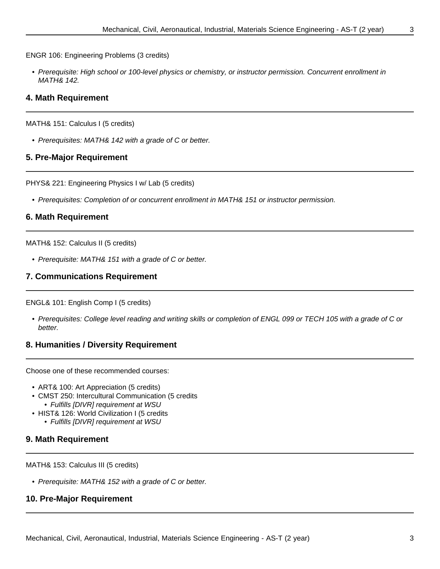ENGR 106: Engineering Problems (3 credits)

• Prerequisite: High school or 100-level physics or chemistry, or instructor permission. Concurrent enrollment in MATH& 142.

#### **4. Math Requirement**

MATH& 151: Calculus I (5 credits)

• Prerequisites: MATH& 142 with a grade of C or better.

#### **5. Pre-Major Requirement**

PHYS& 221: Engineering Physics I w/ Lab (5 credits)

• Prerequisites: Completion of or concurrent enrollment in MATH& 151 or instructor permission.

#### **6. Math Requirement**

MATH& 152: Calculus II (5 credits)

• Prerequisite: MATH& 151 with a grade of C or better.

#### **7. Communications Requirement**

ENGL& 101: English Comp I (5 credits)

• Prerequisites: College level reading and writing skills or completion of ENGL 099 or TECH 105 with a grade of C or better.

#### **8. Humanities / Diversity Requirement**

Choose one of these recommended courses:

- ART& 100: Art Appreciation (5 credits)
- CMST 250: Intercultural Communication (5 credits • Fulfills [DIVR] requirement at WSU
- HIST& 126: World Civilization I (5 credits
	- Fulfills [DIVR] requirement at WSU

#### **9. Math Requirement**

MATH& 153: Calculus III (5 credits)

• Prerequisite: MATH& 152 with a grade of C or better.

#### **10. Pre-Major Requirement**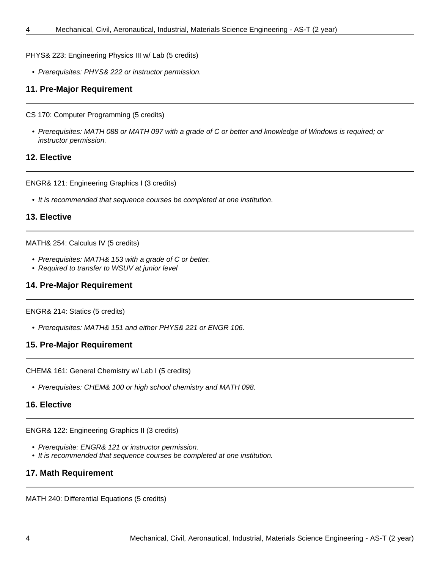PHYS& 223: Engineering Physics III w/ Lab (5 credits)

• Prerequisites: PHYS& 222 or instructor permission.

#### **11. Pre-Major Requirement**

CS 170: Computer Programming (5 credits)

• Prerequisites: MATH 088 or MATH 097 with a grade of C or better and knowledge of Windows is required; or instructor permission.

#### **12. Elective**

ENGR& 121: Engineering Graphics I (3 credits)

• It is recommended that sequence courses be completed at one institution.

#### **13. Elective**

#### MATH& 254: Calculus IV (5 credits)

- Prerequisites: MATH& 153 with a grade of C or better.
- Required to transfer to WSUV at junior level

#### **14. Pre-Major Requirement**

#### ENGR& 214: Statics (5 credits)

• Prerequisites: MATH& 151 and either PHYS& 221 or ENGR 106.

#### **15. Pre-Major Requirement**

CHEM& 161: General Chemistry w/ Lab I (5 credits)

• Prerequisites: CHEM& 100 or high school chemistry and MATH 098.

#### **16. Elective**

ENGR& 122: Engineering Graphics II (3 credits)

- Prerequisite: ENGR& 121 or instructor permission.
- It is recommended that sequence courses be completed at one institution.

#### **17. Math Requirement**

MATH 240: Differential Equations (5 credits)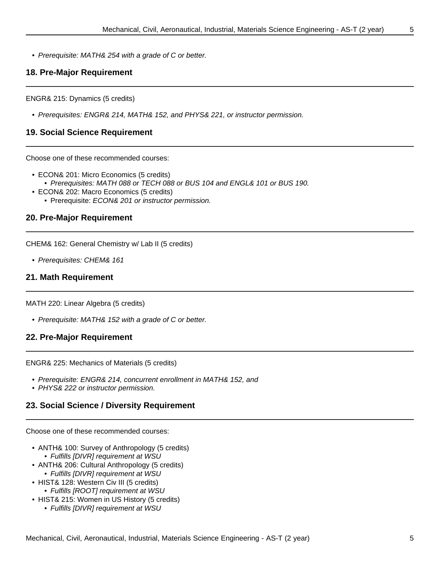• Prerequisite: MATH& 254 with a grade of C or better.

#### **18. Pre-Major Requirement**

ENGR& 215: Dynamics (5 credits)

• Prerequisites: ENGR& 214, MATH& 152, and PHYS& 221, or instructor permission.

#### **19. Social Science Requirement**

Choose one of these recommended courses:

- ECON& 201: Micro Economics (5 credits)
	- Prerequisites: MATH 088 or TECH 088 or BUS 104 and ENGL& 101 or BUS 190.
- ECON& 202: Macro Economics (5 credits)
	- Prerequisite: ECON& 201 or instructor permission.

#### **20. Pre-Major Requirement**

CHEM& 162: General Chemistry w/ Lab II (5 credits)

• Prerequisites: CHEM& 161

#### **21. Math Requirement**

MATH 220: Linear Algebra (5 credits)

• Prerequisite: MATH& 152 with a grade of C or better.

#### **22. Pre-Major Requirement**

ENGR& 225: Mechanics of Materials (5 credits)

- Prerequisite: ENGR& 214, concurrent enrollment in MATH& 152, and
- PHYS& 222 or instructor permission.

#### **23. Social Science / Diversity Requirement**

Choose one of these recommended courses:

- ANTH& 100: Survey of Anthropology (5 credits)
	- Fulfills [DIVR] requirement at WSU
- ANTH& 206: Cultural Anthropology (5 credits) • Fulfills [DIVR] requirement at WSU
- HIST& 128: Western Civ III (5 credits)
	- Fulfills [ROOT] requirement at WSU
- HIST& 215: Women in US History (5 credits)
	- Fulfills [DIVR] requirement at WSU